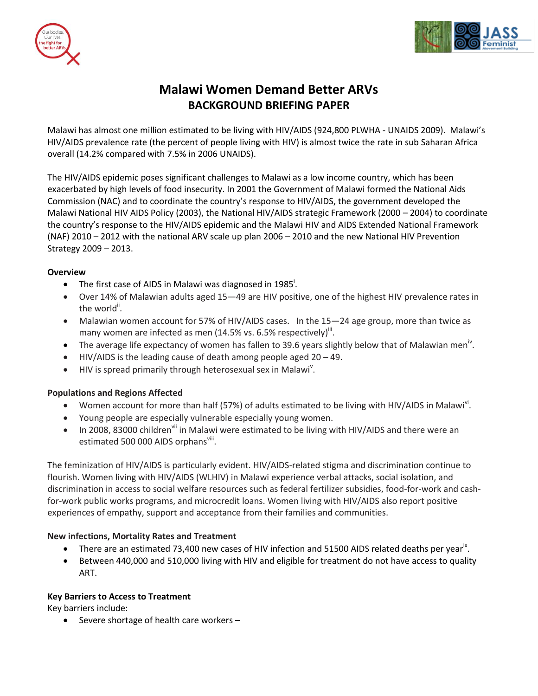



# **Malawi Women Demand Better ARVs BACKGROUND BRIEFING PAPER**

Malawi has almost one million estimated to be living with HIV/AIDS (924,800 PLWHA - UNAIDS 2009). Malawi's HIV/AIDS prevalence rate (the percent of people living with HIV) is almost twice the rate in sub Saharan Africa overall (14.2% compared with 7.5% in 2006 UNAIDS).

The HIV/AIDS epidemic poses significant challenges to Malawi as a low income country, which has been exacerbated by high levels of food insecurity. In 2001 the Government of Malawi formed the National Aids Commission (NAC) and to coordinate the country's response to HIV/AIDS, the government developed the Malawi National HIV AIDS Policy (2003), the National HIV/AIDS strategic Framework (2000 – 2004) to coordinate the country's response to the HIV/AIDS epidemic and the Malawi HIV and AIDS Extended National Framework (NAF) 2010 – 2012 with the national ARV scale up plan 2006 – 2010 and the new National HIV Prevention Strategy 2009 – 2013.

#### **Overview**

- The first case of AIDS in Malawi was diagnosed in 1985<sup>1</sup>.
- Over 14% of Malawian adults aged 15—49 are HIV positive, one of the highest HIV prevalence rates in the world<sup>ii</sup>.
- Malawian women account for 57% of HIV/AIDS cases. In the 15—24 age group, more than twice as many women are infected as men (14.5% vs. 6.5% respectively)<sup>iii</sup>.
- The average life expectancy of women has fallen to 39.6 years slightly below that of Malawian men<sup>iv</sup>.
- HIV/AIDS is the leading cause of death among people aged 20 49.
- $\bullet$  HIV is spread primarily through heterosexual sex in Malawi<sup>v</sup>.

#### **Populations and Regions Affected**

- Women account for more than half (57%) of adults estimated to be living with HIV/AIDS in Malawi<sup>vi</sup>.
- Young people are especially vulnerable especially young women.
- In 2008, 83000 children<sup>vii</sup> in Malawi were estimated to be living with HIV/AIDS and there were an estimated 500 000 AIDS orphans<sup>viii</sup>.

The feminization of HIV/AIDS is particularly evident. HIV/AIDS-related stigma and discrimination continue to flourish. Women living with HIV/AIDS (WLHIV) in Malawi experience verbal attacks, social isolation, and discrimination in access to social welfare resources such as federal fertilizer subsidies, food-for-work and cashfor-work public works programs, and microcredit loans. Women living with HIV/AIDS also report positive experiences of empathy, support and acceptance from their families and communities.

#### **New infections, Mortality Rates and Treatment**

- $\bullet$  There are an estimated 73,400 new cases of HIV infection and 51500 AIDS related deaths per year<sup>ix</sup>.
- Between 440,000 and 510,000 living with HIV and eligible for treatment do not have access to quality ART.

#### **Key Barriers to Access to Treatment**

Key barriers include:

 $\bullet$  Severe shortage of health care workers –